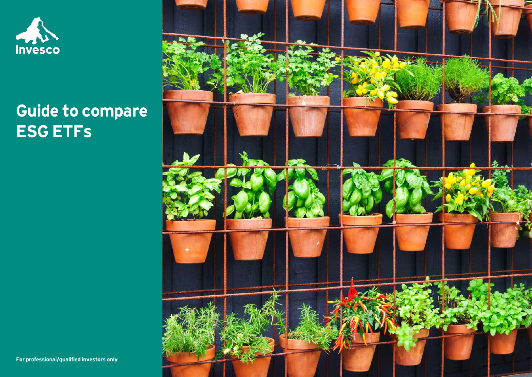

# **Guide to compare ESG ETFs**

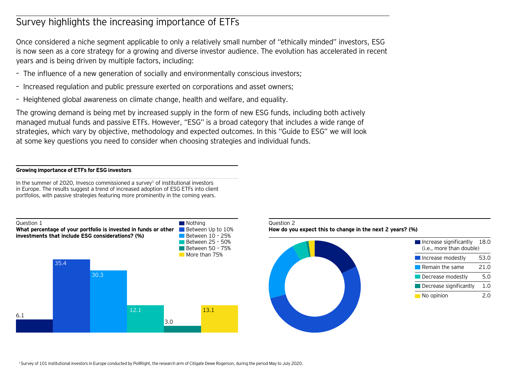# Survey highlights the increasing importance of ETFs

Once considered a niche segment applicable to only a relatively small number of "ethically minded" investors, ESG is now seen as a core strategy for a growing and diverse investor audience. The evolution has accelerated in recent years and is being driven by multiple factors, including:

- The influence of a new generation of socially and environmentally conscious investors;
- Increased regulation and public pressure exerted on corporations and asset owners;
- Heightened global awareness on climate change, health and welfare, and equality.

The growing demand is being met by increased supply in the form of new ESG funds, including both actively managed mutual funds and passive ETFs. However, "ESG" is a broad category that includes a wide range of strategies, which vary by objective, methodology and expected outcomes. In this "Guide to ESG" we will look at some key questions you need to consider when choosing strategies and individual funds.

# **Growing importance of ETFs for ESG investors**

In the summer of 2020, Invesco commissioned a survey<sup>1</sup> of institutional investors in Europe. The results suggest a trend of increased adoption of ESG ETFs into client portfolios, with passive strategies featuring more prominently in the coming years.





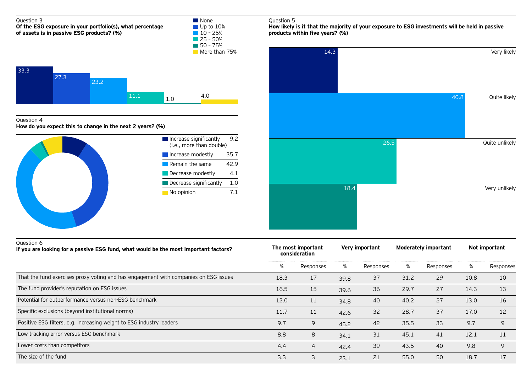# Question 5 Question 4 **How do you expect this to change in the next 2 years? (%)** Increase significantly 9.2 (i.e., more than double) Increase modestly 35.7 Remain the same 42.9 Question 3 **Of the ESG exposure in your portfolio(s), what percentage of assets is in passive ESG products? (%) None** Up to 10%  $10 - 25%$  $25 - 50%$  $\overline{50} - 75%$ More than 75% 33.3 27.3 23.2  $11.1$  1.0 4.0

Decrease modestly 4.1  $\blacksquare$  Decrease significantly  $1.0$ No opinion 7.1 **How likely is it that the majority of your exposure to ESG investments will be held in passive products within five years? (%)**



| Question 6<br>If you are looking for a passive ESG fund, what would be the most important factors? | The most important<br>consideration |           | Very important |           | <b>Moderately important</b> |           | Not important |           |
|----------------------------------------------------------------------------------------------------|-------------------------------------|-----------|----------------|-----------|-----------------------------|-----------|---------------|-----------|
|                                                                                                    | %                                   | Responses | %              | Responses | %                           | Responses | %             | Responses |
| That the fund exercises proxy voting and has engagement with companies on ESG issues               | 18.3                                | 17        | 39.8           | 37        | 31.2                        | 29        | 10.8          | 10        |
| The fund provider's reputation on ESG issues                                                       | 16.5                                | 15        | 39.6           | 36        | 29.7                        | 27        | 14.3          | 13        |
| Potential for outperformance versus non-ESG benchmark                                              | 12.0                                | 11        | 34.8           | 40        | 40.2                        | 27        | 13.0          | 16        |
| Specific exclusions (beyond institutional norms)                                                   | 11.7                                | 11        | 42.6           | 32        | 28.7                        | 37        | 17.0          | 12        |
| Positive ESG filters, e.g. increasing weight to ESG industry leaders                               | 9.7                                 | 9         | 45.2           | 42        | 35.5                        | 33        | 9.7           | 9         |
| Low tracking error versus ESG benchmark                                                            | 8.8                                 | 8         | 34.1           | 31        | 45.1                        | 41        | 12.1          | 11        |
| Lower costs than competitors                                                                       | 4.4                                 | 4         | 42.4           | 39        | 43.5                        | 40        | 9.8           | 9         |
| The size of the fund                                                                               | 3.3                                 | 3         | 23.1           | 21        | 55.0                        | 50        | 18.7          | 17        |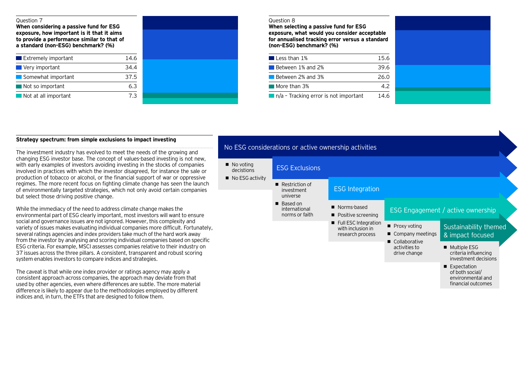#### Question 7

**When considering a passive fund for ESG exposure, how important is it that it aims to provide a performance similar to that of a standard (non-ESG) benchmark? (%)**

| $\blacksquare$ Extremely important | 14.6 |
|------------------------------------|------|
| Very important                     | 34.4 |
| Somewhat important                 | 37.5 |
| Not so important                   | 63   |
| Not at all important               | ר 7  |

| $\frac{4.6}{4.4}$<br>$\frac{7.5}{6.3}$<br>$\frac{5.3}{7.3}$ |  |
|-------------------------------------------------------------|--|
|                                                             |  |
|                                                             |  |
|                                                             |  |
|                                                             |  |

#### Question 8

**When selecting a passive fund for ESG exposure, what would you consider acceptable for annualised tracking error versus a standard (non-ESG) benchmark? (%)**

| $\blacksquare$ Less than 1%                          | 156  |
|------------------------------------------------------|------|
| Between 1% and 2%                                    | 39.6 |
| Between 2% and 3%                                    | 26 O |
| $\blacksquare$ More than 3%                          | 42   |
| $\blacksquare$ n/a - Tracking error is not important | 14.6 |

# **Strategy spectrum: from simple exclusions to impact investing**

The investment industry has evolved to meet the needs of the growing and changing ESG investor base. The concept of values-based investing is not new, with early examples of investors avoiding investing in the stocks of companies involved in practices with which the investor disagreed, for instance the sale or production of tobacco or alcohol, or the financial support of war or oppressive regimes. The more recent focus on fighting climate change has seen the launch of environmentally targeted strategies, which not only avoid certain companies but select those driving positive change.

While the immediacy of the need to address climate change makes the environmental part of ESG clearly important, most investors will want to ensure social and governance issues are not ignored. However, this complexity and variety of issues makes evaluating individual companies more difficult. Fortunately, several ratings agencies and index providers take much of the hard work away from the investor by analysing and scoring individual companies based on specific ESG criteria. For example, MSCI assesses companies relative to their industry on 37 issues across the three pillars. A consistent, transparent and robust scoring system enables investors to compare indices and strategies.

The caveat is that while one index provider or ratings agency may apply a consistent approach across companies, the approach may deviate from that used by other agencies, even where differences are subtle. The more material difference is likely to appear due to the methodologies employed by different indices and, in turn, the ETFs that are designed to follow them.

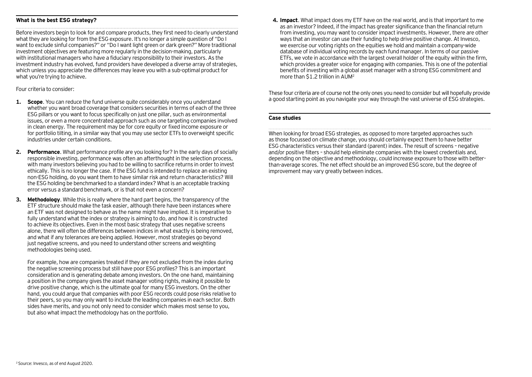# **What is the best ESG strategy?**

Before investors begin to look for and compare products, they first need to clearly understand what they are looking for from the ESG exposure. It's no longer a simple question of "Do I want to exclude sinful companies?" or "Do I want light green or dark green?" More traditional investment objectives are featuring more regularly in the decision-making, particularly with institutional managers who have a fiduciary responsibility to their investors. As the investment industry has evolved, fund providers have developed a diverse array of strategies, which unless you appreciate the differences may leave you with a sub-optimal product for what you're trying to achieve.

Four criteria to consider:

- **1. Scope**. You can reduce the fund universe quite considerably once you understand whether you want broad coverage that considers securities in terms of each of the three ESG pillars or you want to focus specifically on just one pillar, such as environmental issues, or even a more concentrated approach such as one targeting companies involved in clean energy. The requirement may be for core equity or fixed income exposure or for portfolio tilting, in a similar way that you may use sector ETFs to overweight specific industries under certain conditions.
- **2. Performance**. What performance profile are you looking for? In the early days of socially responsible investing, performance was often an afterthought in the selection process, with many investors believing you had to be willing to sacrifice returns in order to invest ethically. This is no longer the case. If the ESG fund is intended to replace an existing non-ESG holding, do you want them to have similar risk and return characteristics? Will the ESG holding be benchmarked to a standard index? What is an acceptable tracking error versus a standard benchmark, or is that not even a concern?
- **3. Methodology**. While this is really where the hard part begins, the transparency of the ETF structure should make the task easier, although there have been instances where an ETF was not designed to behave as the name might have implied. It is imperative to fully understand what the index or strategy is aiming to do, and how it is constructed to achieve its objectives. Even in the most basic strategy that uses negative screens alone, there will often be differences between indices in what exactly is being removed, and what if any tolerances are being applied. However, most strategies go beyond just negative screens, and you need to understand other screens and weighting methodologies being used.

For example, how are companies treated if they are not excluded from the index during the negative screening process but still have poor ESG profiles? This is an important consideration and is generating debate among investors. On the one hand, maintaining a position in the company gives the asset manager voting rights, making it possible to drive positive change, which is the ultimate goal for many ESG investors. On the other hand, you could argue that companies with poor ESG records could pose risks relative to their peers, so you may only want to include the leading companies in each sector. Both sides have merits, and you not only need to consider which makes most sense to you, but also what impact the methodology has on the portfolio.

**4. Impact**. What impact does my ETF have on the real world, and is that important to me as an investor? Indeed, if the impact has greater significance than the financial return from investing, you may want to consider impact investments. However, there are other ways that an investor can use their funding to help drive positive change. At Invesco, we exercise our voting rights on the equities we hold and maintain a company-wide database of individual voting records by each fund manager. In terms of our passive ETFs, we vote in accordance with the largest overall holder of the equity within the firm, which provides a greater voice for engaging with companies. This is one of the potential benefits of investing with a global asset manager with a strong ESG commitment and more than \$1.2 trillion in AUM2

These four criteria are of course not the only ones you need to consider but will hopefully provide a good starting point as you navigate your way through the vast universe of ESG strategies.

# **Case studies**

When looking for broad ESG strategies, as opposed to more targeted approaches such as those focussed on climate change, you should certainly expect them to have better ESG characteristics versus their standard (parent) index. The result of screens – negative and/or positive filters – should help eliminate companies with the lowest credentials and, depending on the objective and methodology, could increase exposure to those with betterthan-average scores. The net effect should be an improved ESG score, but the degree of improvement may vary greatly between indices.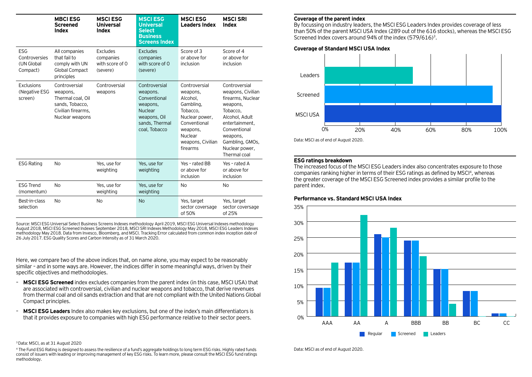|                                                       | <b>MBCI ESG</b><br><b>Screened</b><br><b>Index</b>                                                         | <b>MSCI ESG</b><br><b>Universal</b><br>Index           | <b>MSCIESG</b><br><b>Universal</b><br><b>Select</b><br><b>Business</b><br><b>Screens Index</b>                      | <b>MSCI ESG</b><br><b>Leaders Index</b>                                                                                                                  | <b>MSCI SRI</b><br>Index                                                                                                                                                                             |
|-------------------------------------------------------|------------------------------------------------------------------------------------------------------------|--------------------------------------------------------|---------------------------------------------------------------------------------------------------------------------|----------------------------------------------------------------------------------------------------------------------------------------------------------|------------------------------------------------------------------------------------------------------------------------------------------------------------------------------------------------------|
| <b>ESG</b><br>Controversies<br>(UN Global<br>Compact) | All companies<br>that fail to<br>comply with UN<br>Global Compact<br>principles                            | Excludes<br>companies<br>with score of $0$<br>(severe) | Excludes<br>companies<br>with score of $\Omega$<br>(severe)                                                         | Score of 3<br>or above for<br>inclusion                                                                                                                  | Score of 4<br>or above for<br>inclusion                                                                                                                                                              |
| Exclusions<br>(Negative ESG<br>screen)                | Controversial<br>weapons,<br>Thermal coal, Oil<br>sands, Tobacco,<br>Civilian firearms.<br>Nuclear weapons | Controversial<br>weapons                               | Controversial<br>weapons.<br>Conventional<br>weapons,<br>Nuclear<br>weapons, Oil<br>sands, Thermal<br>coal, Tobacco | Controversial<br>weapons,<br>Alcohol.<br>Gambling,<br>Tobacco.<br>Nuclear power,<br>Conventional<br>weapons,<br>Nuclear<br>weapons, Civilian<br>firearms | Controversial<br>weapons, Civilian<br>firearms, Nuclear<br>weapons,<br>Tobacco.<br>Alcohol, Adult<br>entertainment.<br>Conventional<br>weapons,<br>Gambling, GMOs,<br>Nuclear power,<br>Thermal coal |
| <b>ESG Rating</b>                                     | <b>No</b>                                                                                                  | Yes, use for<br>weighting                              | Yes, use for<br>weighting                                                                                           | Yes - rated BB<br>or above for<br>inclusion                                                                                                              | Yes - rated A<br>or above for<br>inclusion                                                                                                                                                           |
| <b>ESG Trend</b><br>(momentum)                        | <b>No</b>                                                                                                  | Yes, use for<br>weighting                              | Yes, use for<br>weighting                                                                                           | <b>No</b>                                                                                                                                                | <b>No</b>                                                                                                                                                                                            |
| Best-in-class<br>selection                            | <b>No</b>                                                                                                  | N <sub>o</sub>                                         | <b>No</b>                                                                                                           | Yes, target<br>sector coversage<br>of 50%                                                                                                                | Yes, target<br>sector coversage<br>of 25%                                                                                                                                                            |

Source: MSCI ESG Universal Select Business Screens Indexes methodology April 2019, MSCI ESG Universal Indexes methodology August 2018, MSCI ESG Screened Indexes September 2018, MSCI SRI Indexes Methodology May 2018, MSCI ESG Leaders Indexes methodology May 2018. Data from Invesco, Bloomberg, and MSCI. Tracking Error calculated from common index inception date of 26 July 2017. ESG Quality Scores and Carbon Intensity as of 31 March 2020.

Here, we compare two of the above indices that, on name alone, you may expect to be reasonably similar – and in some ways are. However, the indices differ in some meaningful ways, driven by their specific objectives and methodologies.

- **MSCI ESG Screened** index excludes companies from the parent index (in this case, MSCI USA) that are associated with controversial, civilian and nuclear weapons and tobacco, that derive revenues from thermal coal and oil sands extraction and that are not compliant with the United Nations Global Compact principles.
- **MSCI ESG Leaders** Index also makes key exclusions, but one of the index's main differentiators is that it provides exposure to companies with high ESG performance relative to their sector peers.

#### **Coverage of the parent index**

By focussing on industry leaders, the MSCI ESG Leaders Index provides coverage of less than 50% of the parent MSCI USA Index (289 out of the 616 stocks), whereas the MSCI ESG Screened Index covers around 94% of the index (579/616)3.





# **ESG ratings breakdown**

The increased focus of the MSCI ESG Leaders index also concentrates exposure to those companies ranking higher in terms of their ESG ratings as defined by MSCI4, whereas the greater coverage of the MSCI ESG Screened index provides a similar profile to the parent index.

# **Performance vs. Standard MSCI USA Index**



#### 3 Data: MSCI, as at 31 August 2020

4 The Fund ESG Rating is designed to assess the resilience of a fund's aggregate holdings to long term ESG risks. Highly rated funds consist of issuers with leading or improving management of key ESG risks. To learn more, please consult the MSCI ESG fund ratings methodology.

Data: MSCI as of end of August 2020.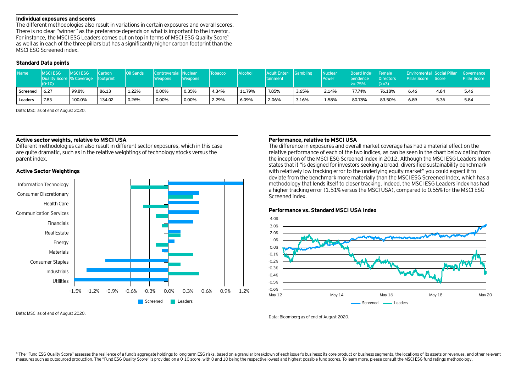#### **Individual exposures and scores**

The different methodologies also result in variations in certain exposures and overall scores. There is no clear "winner" as the preference depends on what is important to the investor. For instance, the MSCI ESG Leaders comes out on top in terms of MSCI ESG Quality Score5 as well as in each of the three pillars but has a significantly higher carbon footprint than the MSCI ESG Screened index.

# **Standard Data points**

| <b>Name</b> | <b>MSCIESG</b><br><b>Quality Score % Coverage   footprint</b><br>$(0-10)$ | <b>IMSCIESG</b> | Carbon | Oil Sands | Controversial Nuclear<br>Weapons | <i><b>Neapons</b></i> | <b>Tobacco</b> | <b>Alcohol</b> | Adult Enter- Gambling<br>tainment |       | Nuclear<br>Power <sup>1</sup> | Board Inde- Female<br><b>l</b> pendence<br>l>= 75% | Directors<br>$  (>=3)$ | <b>Enviromental Social Pillar Governance</b><br><b>Pillar Score</b> Score |      | <b>Pillar Score</b> |
|-------------|---------------------------------------------------------------------------|-----------------|--------|-----------|----------------------------------|-----------------------|----------------|----------------|-----------------------------------|-------|-------------------------------|----------------------------------------------------|------------------------|---------------------------------------------------------------------------|------|---------------------|
| Screened    | 6.27                                                                      | 99.8%           | 86.13  | 1.22%     | 0.00%                            | 0.35%                 | 4.34%          | 11.79%         | 7.85%                             | 3.65% | 2.14%                         | 77.74%                                             | 76.18%                 | 6.46                                                                      | 4.84 | 5.46                |
| Leaders     | 7.83                                                                      | 100.0%          | 134.02 | 0.26%     | 0.00%                            | 0.00%                 | 2.29%          | 6.09%          | 2.06%                             | 3.16% | 1.58%                         | 80.78%                                             | 83.50%                 | 6.89                                                                      | 5.36 | 5.84                |

Data: MSCI as of end of August 2020.

# **Active sector weights, relative to MSCI USA**

Different methodologies can also result in different sector exposures, which in this case are quite dramatic, such as in the relative weightings of technology stocks versus the parent index.

# **Active Sector Weightings**



#### Data: MSCI as of end of August 2020.

#### **Performance, relative to MSCI USA**

The difference in exposures and overall market coverage has had a material effect on the relative performance of each of the two indices, as can be seen in the chart below dating from the inception of the MSCI ESG Screened index in 2012. Although the MSCI ESG Leaders Index states that it "is designed for investors seeking a broad, diversified sustainability benchmark with relatively low tracking error to the underlying equity market" you could expect it to deviate from the benchmark more materially than the MSCI ESG Screened Index, which has a methodology that lends itself to closer tracking. Indeed, the MSCI ESG Leaders index has had a higher tracking error (1.51% versus the MSCI USA), compared to 0.55% for the MSCI ESG Screened index.

#### **Performance vs. Standard MSCI USA Index**



Data: Bloomberg as of end of August 2020.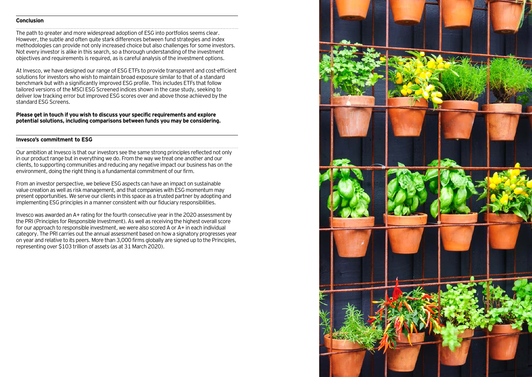#### **Conclusion**

The path to greater and more widespread adoption of ESG into portfolios seems clear. However, the subtle and often quite stark differences between fund strategies and index methodologies can provide not only increased choice but also challenges for some investors. Not every investor is alike in this search, so a thorough understanding of the investment objectives and requirements is required, as is careful analysis of the investment options.

At Invesco, we have designed our range of ESG ETFs to provide transparent and cost-efficient solutions for investors who wish to maintain broad exposure similar to that of a standard benchmark but with a significantly improved ESG profile. This includes ETFs that follow tailored versions of the MSCI ESG Screened indices shown in the case study, seeking to deliver low tracking error but improved ESG scores over and above those achieved by the standard ESG Screens.

**Please get in touch if you wish to discuss your specific requirements and explore potential solutions, including comparisons between funds you may be considering.** 

# **Invesco's commitment to ESG**

Our ambition at Invesco is that our investors see the same strong principles reflected not only in our product range but in everything we do. From the way we treat one another and our clients, to supporting communities and reducing any negative impact our business has on the environment, doing the right thing is a fundamental commitment of our firm.

From an investor perspective, we believe ESG aspects can have an impact on sustainable value creation as well as risk management, and that companies with ESG momentum may present opportunities. We serve our clients in this space as a trusted partner by adopting and implementing ESG principles in a manner consistent with our fiduciary responsibilities.

Invesco was awarded an A+ rating for the fourth consecutive year in the 2020 assessment by the PRI (Principles for Responsible Investment). As well as receiving the highest overall score for our approach to responsible investment, we were also scored A or A+ in each individual category. The PRI carries out the annual assessment based on how a signatory progresses year on year and relative to its peers. More than 3,000 firms globally are signed up to the Principles, representing over \$103 trillion of assets (as at 31 March 2020).